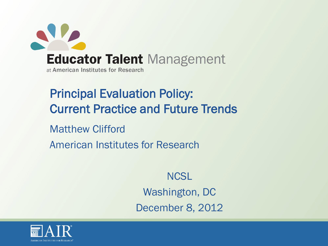

Principal Evaluation Policy: Current Practice and Future Trends

Matthew Clifford American Institutes for Research

> **NCSL** Washington, DC December 8, 2012

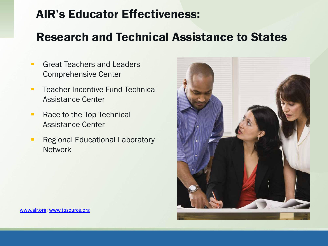# AIR's Educator Effectiveness:

# Research and Technical Assistance to States

- **Great Teachers and Leaders** Comprehensive Center
- **Teacher Incentive Fund Technical** Assistance Center
- Race to the Top Technical Assistance Center
- **Regional Educational Laboratory Network**

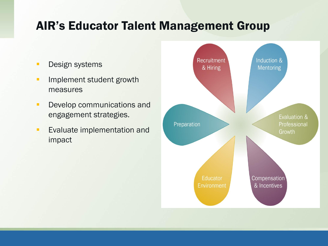# AIR's Educator Talent Management Group

- **Design systems**
- **Implement student growth** measures
- **Develop communications and** engagement strategies.
- **Evaluate implementation and** impact

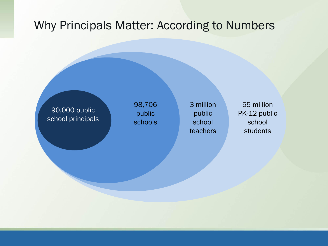## Why Principals Matter: According to Numbers

90,000 public school principals 98,706 public schools 3 million public school teachers

55 million PK-12 public school students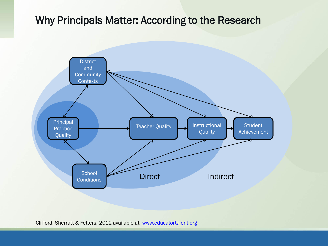#### Why Principals Matter: According to the Research



Clifford, Sherratt & Fetters, 2012 available at [www.educatortalent.org](http://www.educatortalent.org/)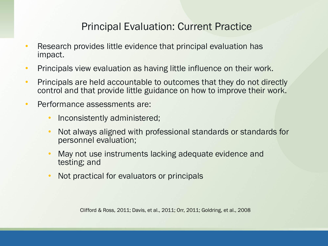#### Principal Evaluation: Current Practice

- Research provides little evidence that principal evaluation has impact.
- Principals view evaluation as having little influence on their work.
- Principals are held accountable to outcomes that they do not directly control and that provide little guidance on how to improve their work.
- Performance assessments are:
	- Inconsistently administered;
	- Not always aligned with professional standards or standards for personnel evaluation;
	- May not use instruments lacking adequate evidence and testing; and
	- Not practical for evaluators or principals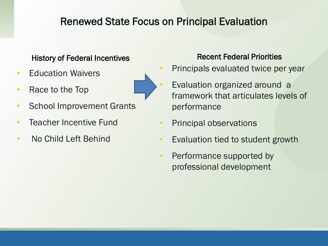## Renewed State Focus on Principal Evaluation

#### History of Federal Incentives **Recent Federal Priorities**

- Education Waivers
- Race to the Top
- School Improvement Grants
- Teacher Incentive Fund
- No Child Left Behind

- Principals evaluated twice per year
- Evaluation organized around a framework that articulates levels of performance
- Principal observations
- Evaluation tied to student growth
- Performance supported by professional development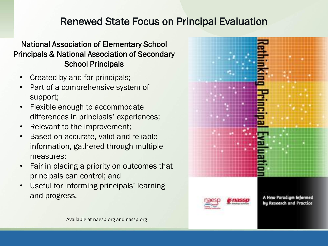## Renewed State Focus on Principal Evaluation

#### National Association of Elementary School Principals & National Association of Secondary School Principals

- Created by and for principals;
- Part of a comprehensive system of support;
- Flexible enough to accommodate differences in principals' experiences;
- Relevant to the improvement;
- Based on accurate, valid and reliable information, gathered through multiple measures;
- Fair in placing a priority on outcomes that principals can control; and
- Useful for informing principals' learning and progress.

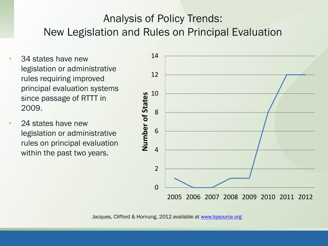# Analysis of Policy Trends: New Legislation and Rules on Principal Evaluation

- 34 states have new legislation or administrative rules requiring improved principal evaluation systems since passage of RTTT in 2009.
- 24 states have new legislation or administrative rules on principal evaluation within the past two years.

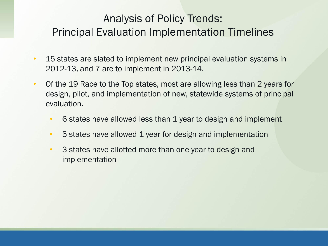# Analysis of Policy Trends: Principal Evaluation Implementation Timelines

- 15 states are slated to implement new principal evaluation systems in 2012-13, and 7 are to implement in 2013-14.
- Of the 19 Race to the Top states, most are allowing less than 2 years for design, pilot, and implementation of new, statewide systems of principal evaluation.
	- 6 states have allowed less than 1 year to design and implement
	- 5 states have allowed 1 year for design and implementation
	- 3 states have allotted more than one year to design and implementation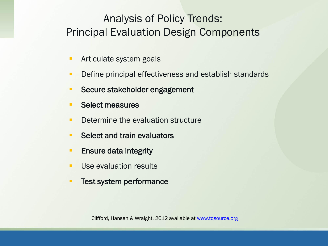# Analysis of Policy Trends: Principal Evaluation Design Components

- **Articulate system goals**
- **Define principal effectiveness and establish standards**
- **Secure stakeholder engagement**
- **Select measures**
- **Determine the evaluation structure**
- **Select and train evaluators**
- **Ensure data integrity**
- **Use evaluation results**
- **Test system performance**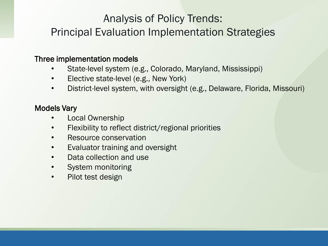# Analysis of Policy Trends:

## Principal Evaluation Implementation Strategies

#### Three implementation models

- State-level system (e.g., Colorado, Maryland, Mississippi)
- Elective state-level (e.g., New York)
- District-level system, with oversight (e.g., Delaware, Florida, Missouri)

#### Models Vary

- Local Ownership
- Flexibility to reflect district/regional priorities
- Resource conservation
- Evaluator training and oversight
- Data collection and use
- System monitoring
- Pilot test design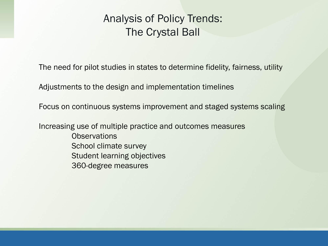## Analysis of Policy Trends: The Crystal Ball

The need for pilot studies in states to determine fidelity, fairness, utility

Adjustments to the design and implementation timelines

Focus on continuous systems improvement and staged systems scaling

Increasing use of multiple practice and outcomes measures **Observations** School climate survey Student learning objectives 360-degree measures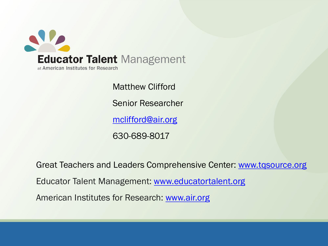

Matthew Clifford Senior Researcher [mclifford@air.org](mailto:mclifford@air.org) 630-689-8017

Great Teachers and Leaders Comprehensive Center: [www.tqsource.org](http://www.tqsource.org/) Educator Talent Management: [www.educatortalent.org](http://www.educatortalent.org/) American Institutes for Research: [www.air.org](http://www.air.org/)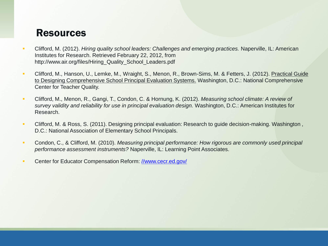#### **Resources**

- Clifford, M. (2012). *Hiring quality school leaders: Challenges and emerging practices.* Naperville, IL: American Institutes for Research. Retrieved February 22, 2012, from http://www.air.org/files/Hiring\_Quality\_School\_Leaders.pdf
- Clifford, M., Hanson, U., Lemke, M., Wraight, S., Menon, R., Brown-Sims, M. & Fetters, J. (2012). Practical Guide to Designing Comprehensive School Principal Evaluation Systems. Washington, D.C.: National Comprehensive Center for Teacher Quality.
- Clifford, M., Menon, R., Gangi, T., Condon, C. & Hornung, K. (2012). *Measuring school climate: A review of survey validity and reliability for use in principal evaluation design.* Washington, D.C.: American Institutes for Research.
- Clifford, M. & Ross, S. (2011). Designing principal evaluation: Research to guide decision-making. Washington , D.C.: National Association of Elementary School Principals.
- Condon, C., & Clifford, M. (2010). *Measuring principal performance: How rigorous are commonly used principal performance assessment instruments?* Naperville, IL: Learning Point Associates.
- Center for Educator Compensation Reform: [//www.cecr.ed.gov/](http://www.cecr.ed.gov/)